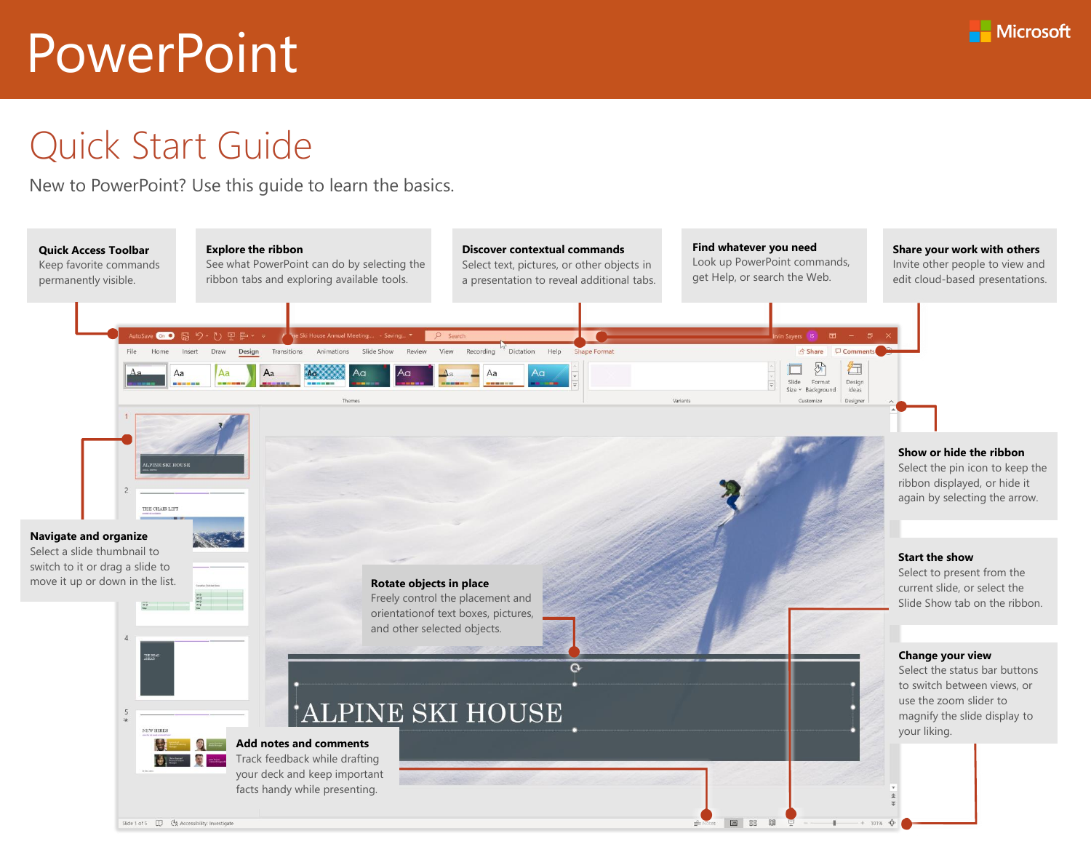

## Quick Start Guide

New to PowerPoint? Use this guide to learn the basics.

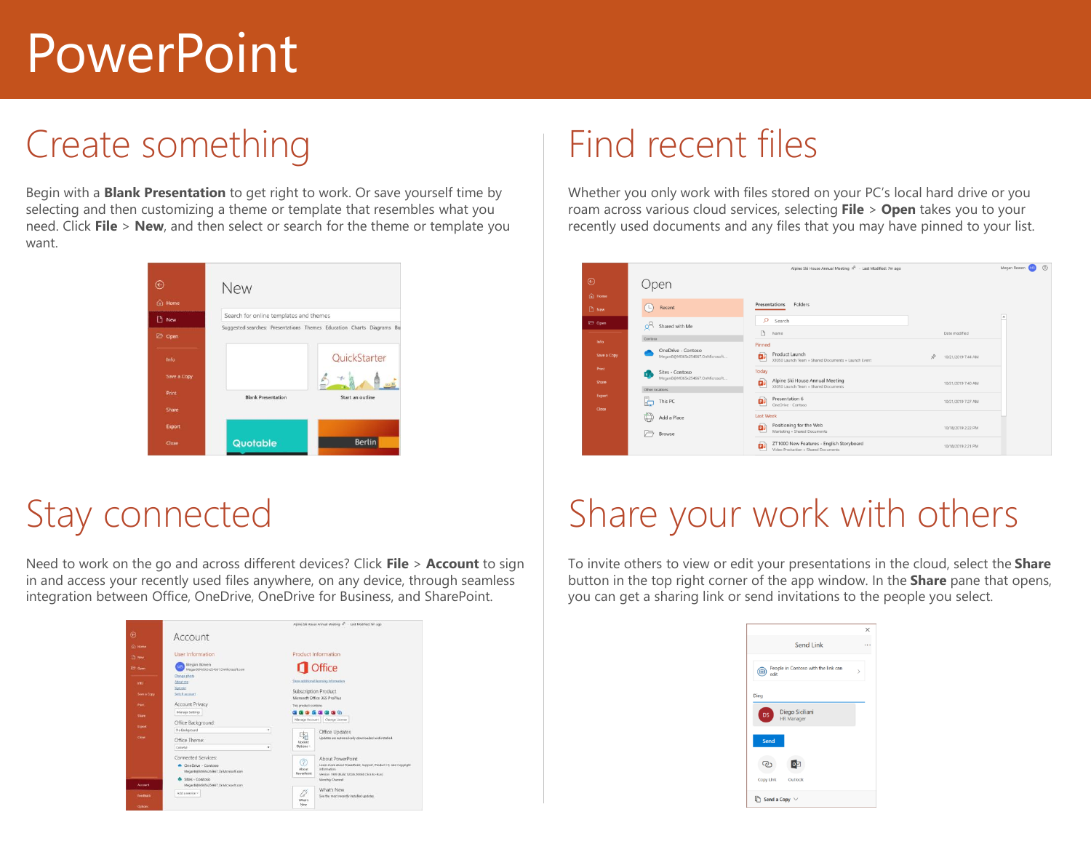## Create something

Begin with a **Blank Presentation** to get right to work. Or save yourself time by selecting and then customizing a theme or template that resembles what you need. Click **File** > **New**, and then select or search for the theme or template you want.



# Stay connected

Need to work on the go and across different devices? Click **File** > **Account** to sign in and access your recently used files anywhere, on any device, through seamless integration between Office, OneDrive, OneDrive for Business, and SharePoint.



#### Find recent files

Whether you only work with files stored on your PC's local hard drive or you roam across various cloud services, selecting **File** > **Open** takes you to your recently used documents and any files that you may have pinned to your list.

|                                                 |                                                                 | Alpine Ski House Annual Meeting R - Last Modified: 7m ago                                       |                         | $\circledcirc$<br>Megan Bowen |
|-------------------------------------------------|-----------------------------------------------------------------|-------------------------------------------------------------------------------------------------|-------------------------|-------------------------------|
| $\odot$                                         | )pen                                                            |                                                                                                 |                         |                               |
| $\widehat{(\mathfrak{g})}$ Home<br><b>D</b> New | Recent<br>L.                                                    | Presentations<br>Folders                                                                        |                         |                               |
| 2 Open                                          | $o^{\mathsf{R}}$<br>Shared with Me                              | O<br>Search<br>D<br>Name                                                                        | Date modified           | $\overline{a}$                |
| Info<br>Save a Copy                             | Contoso<br>OneDrive - Contaso<br>MeganB@M365x254667.OnMicrosoft | Pinned<br>Product Launch<br>ÞВ<br>X1050 Launch Team » Shared Documents » Launch Event           | 坾<br>10/21/2019 7:44 AM |                               |
| <b>Print</b><br>Share                           | Sites - Contoso<br>$s$ .<br>MeganB@M365x254667.OnMicrosoft      | Today<br>Alpine Ski House Annual Meeting<br>国<br>X1050 Launch Team = Shared Documents           | 10/21/2019 7:40 AM      |                               |
| Export<br>Close                                 | Other locations<br>b<br>This PC                                 | Presentation 6<br>ø<br>OneDrive - Contoso                                                       | 10/21/2019 7:27 AM      |                               |
|                                                 | 曲<br>Add a Place<br>戸<br>Browse                                 | <b>Last Week</b><br>Positioning for the Web<br>þ.<br>Marketing » Shared Documents               | 10/18/2019 2:22 PM      |                               |
|                                                 |                                                                 | ZT1000 New Features - English Storyboard<br>$\mathbf{D}$<br>Video Production » Shared Documents | 10/18/2019 2:21 PM      |                               |

# Share your work with others

To invite others to view or edit your presentations in the cloud, select the **Share** button in the top right corner of the app window. In the **Share** pane that opens, you can get a sharing link or send invitations to the people you select.

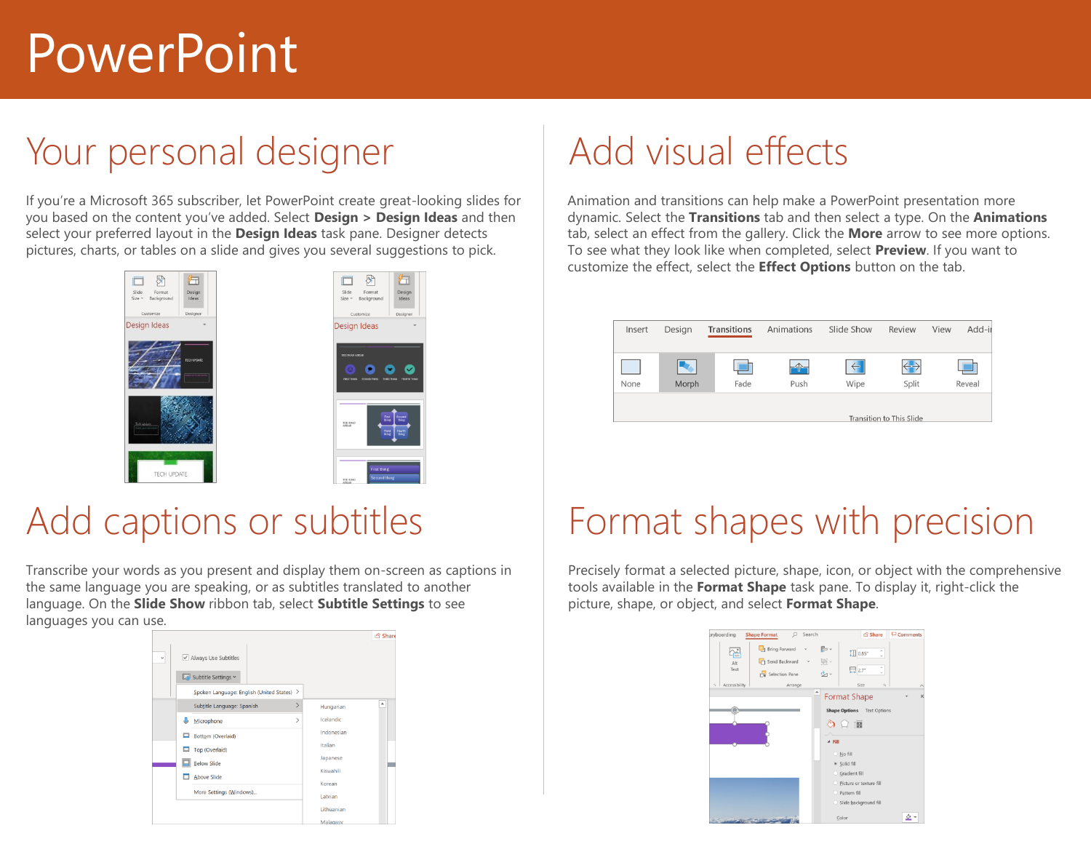## Your personal designer

If you're a Microsoft 365 subscriber, let PowerPoint create great-looking slides for you based on the content you've added. Select **Design > Design Ideas** and then select your preferred layout in the **Design Ideas** task pane. Designer detects pictures, charts, or tables on a slide and gives you several suggestions to pick.



#### Add captions or subtitles

Transcribe your words as you present and display them on-screen as captions in the same language you are speaking, or as subtitles translated to another language. On the **Slide Show** ribbon tab, select **Subtitle Settings** to see languages you can use.



# Add visual effects

Animation and transitions can help make a PowerPoint presentation more dynamic. Select the **Transitions** tab and then select a type. On the **Animations** tab, select an effect from the gallery. Click the **More** arrow to see more options. To see what they look like when completed, select **Preview**. If you want to customize the effect, select the **Effect Options** button on the tab.

| Insert | Design | <b>Transitions</b> | Animations               | Slide Show   | Review | View | Add-i  |
|--------|--------|--------------------|--------------------------|--------------|--------|------|--------|
|        |        |                    |                          |              |        |      |        |
|        |        |                    |                          | $\leftarrow$ | --     |      |        |
| None   | Morph  | Fade               | Push                     | Wipe         | Split  |      | Reveal |
|        |        |                    |                          |              |        |      |        |
|        |        |                    | Transition to This Slide |              |        |      |        |

## Format shapes with precision

Precisely format a selected picture, shape, icon, or object with the comprehensive tools available in the **Format Shape** task pane. To display it, right-click the picture, shape, or object, and select **Format Shape**.